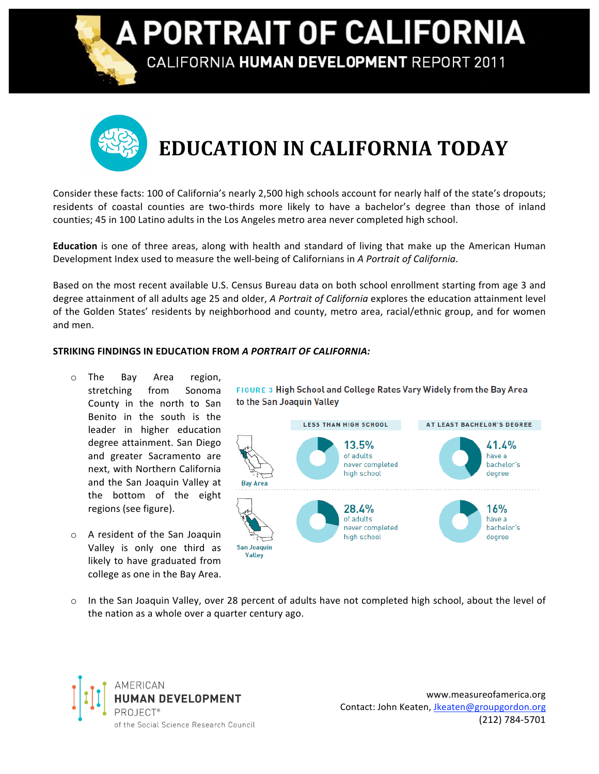A PORTRAIT OF CALIFORNIA

CALIFORNIA HUMAN DEVELOPMENT REPORT 2011

## **EDUCATION
IN
CALIFORNIA
TODAY**

Consider these facts: 100 of California's nearly 2,500 high schools account for nearly half of the state's dropouts; residents of coastal counties are two-thirds more likely to have a bachelor's degree than those of inland counties; 45 in 100 Latino adults in the Los Angeles metro area never completed high school.

Education is one of three areas, along with health and standard of living that make up the American Human Development Index used to measure the well-being of Californians in A Portrait of California.

Based on the most recent available U.S. Census Bureau data on both school enrollment starting from age 3 and degree attainment of all adults age 25 and older, A Portrait of California explores the education attainment level of the Golden States' residents by neighborhood and county, metro area, racial/ethnic group, and for women and
men.

## **STRIKING
FINDINGS
IN
EDUCATION
FROM** *A
PORTRAIT
OF
CALIFORNIA:*

- o The
 Bay
 Area
 region, stretching
 from
 Sonoma County in the north to San Benito
 in
 the
 south
 is
 the leader in higher education degree
attainment.
San
Diego and
 greater
 Sacramento
 are next,
with
Northern
California and
 the
San
 Joaquin
Valley
at the bottom of the eight regions
(see
figure).
- o A
 resident
 of
 the
San
 Joaquin Valley is only one third as likely to have graduated from college
as
one
in
the
Bay
Area.

FIGURE 3 High School and College Rates Vary Widely from the Bay Area to the San Joaquin Valley



o In the San Joaquin Valley, over 28 percent of adults have not completed high school, about the level of the
nation
as
a
whole
over
a
quarter
century
ago.



www.measureofamerica.org Contact:
John
Keaten,
Jkeaten@groupgordon.org (212)
784‐5701